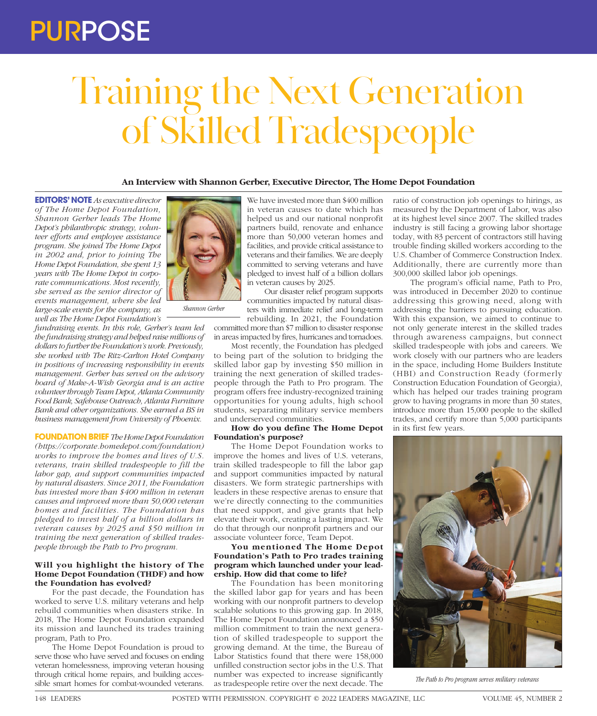## PURPOSE

# Training the Next Generation of Skilled Tradespeople

### **An Interview with Shannon Gerber, Executive Director, The Home Depot Foundation**

**EDITORS' NOTE** *As executive director of The Home Depot Foundation, Shannon Gerber leads The Home Depot's philanthropic strategy, volunteer efforts and employee assistance program. She joined The Home Depot in 2002 and, prior to joining The Home Depot Foundation, she spent 13 years with The Home Depot in corporate communications. Most recently, she served as the senior director of events management, where she led large-scale events for the company, as well as The Home Depot Foundation's* 

*fundraising events. In this role, Gerber's team led the fundraising strategy and helped raise millions of dollars to further the Foundation's work. Previously, she worked with The Ritz-Carlton Hotel Company in positions of increasing responsibility in events management. Gerber has served on the advisory board of Make-A-Wish Georgia and is an active volunteer through Team Depot, Atlanta Community Food Bank, Safehouse Outreach, Atlanta Furniture Bank and other organizations. She earned a BS in business management from University of Phoenix.*

**FOUNDATION BRIEF** *The Home Depot Foundation (https://corporate.homedepot.com/foundation) works to improve the homes and lives of U.S. veterans, train skilled tradespeople to fill the labor gap, and support communities impacted by natural disasters. Since 2011, the Foundation has invested more than \$400 million in veteran causes and improved more than 50,000 veteran homes and facilities. The Foundation has pledged to invest half of a billion dollars in veteran causes by 2025 and \$50 million in training the next generation of skilled tradespeople through the Path to Pro program.*

#### **Will you highlight the history of The Home Depot Foundation (THDF) and how the Foundation has evolved?**

For the past decade, the Foundation has worked to serve U.S. military veterans and help rebuild communities when disasters strike. In 2018, The Home Depot Foundation expanded its mission and launched its trades training program, Path to Pro.

The Home Depot Foundation is proud to serve those who have served and focuses on ending veteran homelessness, improving veteran housing through critical home repairs, and building accessible smart homes for combat-wounded veterans.



Our disaster relief program supports communities impacted by natural disasters with immediate relief and long-term rebuilding. In 2021, the Foundation

committed more than \$7 million to disaster response in areas impacted by fires, hurricanes and tornadoes.

Most recently, the Foundation has pledged to being part of the solution to bridging the skilled labor gap by investing \$50 million in training the next generation of skilled tradespeople through the Path to Pro program. The program offers free industry-recognized training opportunities for young adults, high school students, separating military service members and underserved communities.

#### **How do you define The Home Depot Foundation's purpose?**

The Home Depot Foundation works to improve the homes and lives of U.S. veterans, train skilled tradespeople to fill the labor gap and support communities impacted by natural disasters. We form strategic partnerships with leaders in these respective arenas to ensure that we're directly connecting to the communities that need support, and give grants that help elevate their work, creating a lasting impact. We do that through our nonprofit partners and our associate volunteer force, Team Depot.

### **You mentioned The Home Depot Foundation's Path to Pro trades training program which launched under your leadership. How did that come to life?**

The Foundation has been monitoring the skilled labor gap for years and has been working with our nonprofit partners to develop scalable solutions to this growing gap. In 2018, The Home Depot Foundation announced a \$50 million commitment to train the next generation of skilled tradespeople to support the growing demand. At the time, the Bureau of Labor Statistics found that there were 158,000 unfilled construction sector jobs in the U.S. That number was expected to increase significantly as tradespeople retire over the next decade. The

ratio of construction job openings to hirings, as measured by the Department of Labor, was also at its highest level since 2007. The skilled trades industry is still facing a growing labor shortage today, with 83 percent of contractors still having trouble finding skilled workers according to the U.S. Chamber of Commerce Construction Index. Additionally, there are currently more than 300,000 skilled labor job openings.

The program's official name, Path to Pro, was introduced in December 2020 to continue addressing this growing need, along with addressing the barriers to pursuing education. With this expansion, we aimed to continue to not only generate interest in the skilled trades through awareness campaigns, but connect skilled tradespeople with jobs and careers. We work closely with our partners who are leaders in the space, including Home Builders Institute (HBI) and Construction Ready (formerly Construction Education Foundation of Georgia), which has helped our trades training program grow to having programs in more than 30 states, introduce more than 15,000 people to the skilled trades, and certify more than 5,000 participants in its first few years.



*The Path to Pro program serves military veterans*



*Shannon Gerber*